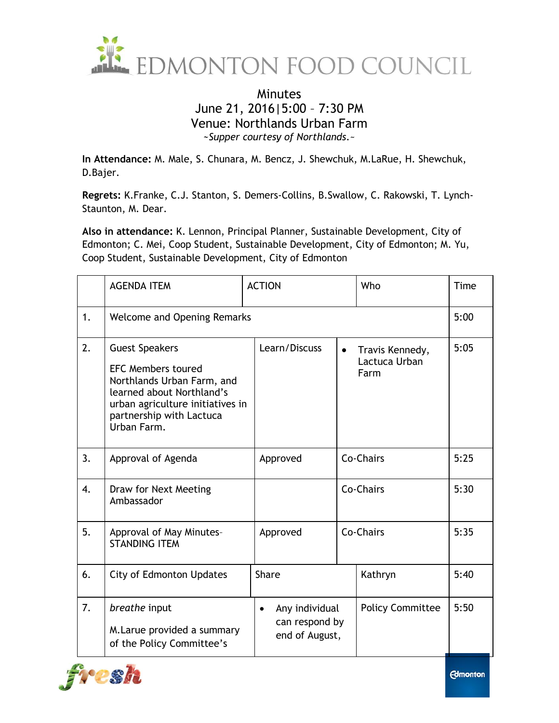

## Minutes June 21, 2016|5:00 – 7:30 PM Venue: Northlands Urban Farm *~Supper courtesy of Northlands*.~

**In Attendance:** M. Male, S. Chunara, M. Bencz, J. Shewchuk, M.LaRue, H. Shewchuk, D.Bajer.

**Regrets:** K.Franke, C.J. Stanton, S. Demers-Collins, B.Swallow, C. Rakowski, T. Lynch-Staunton, M. Dear.

**Also in attendance:** K. Lennon, Principal Planner, Sustainable Development, City of Edmonton; C. Mei, Coop Student, Sustainable Development, City of Edmonton; M. Yu, Coop Student, Sustainable Development, City of Edmonton

|    | <b>AGENDA ITEM</b>                                                                                                                                                                           | <b>ACTION</b>                                      |           | Who                                      | Time |
|----|----------------------------------------------------------------------------------------------------------------------------------------------------------------------------------------------|----------------------------------------------------|-----------|------------------------------------------|------|
| 1. | <b>Welcome and Opening Remarks</b>                                                                                                                                                           |                                                    |           |                                          |      |
| 2. | <b>Guest Speakers</b><br><b>EFC Members toured</b><br>Northlands Urban Farm, and<br>learned about Northland's<br>urban agriculture initiatives in<br>partnership with Lactuca<br>Urban Farm. | Learn/Discuss                                      | $\bullet$ | Travis Kennedy,<br>Lactuca Urban<br>Farm | 5:05 |
| 3. | Approval of Agenda                                                                                                                                                                           | Approved                                           |           | Co-Chairs                                | 5:25 |
| 4. | Draw for Next Meeting<br>Ambassador                                                                                                                                                          |                                                    |           | Co-Chairs                                | 5:30 |
| 5. | Approval of May Minutes-<br><b>STANDING ITEM</b>                                                                                                                                             | Approved                                           | Co-Chairs |                                          | 5:35 |
| 6. | <b>City of Edmonton Updates</b>                                                                                                                                                              | <b>Share</b>                                       |           | Kathryn                                  | 5:40 |
| 7. | breathe input<br>M. Larue provided a summary<br>of the Policy Committee's                                                                                                                    | Any individual<br>can respond by<br>end of August, |           | <b>Policy Committee</b>                  | 5:50 |



**Edmonton**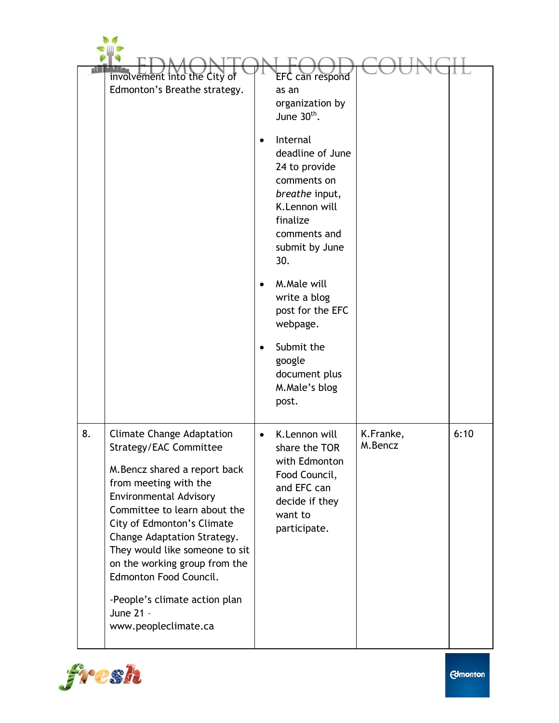|    | involvement into the City of<br>Edmonton's Breathe strategy.                                                                                                                                                                                                                                                                                                                                                          | <b>EFC</b> can respond<br>as an<br>organization by<br>June $30th$ .<br>Internal<br>deadline of June<br>24 to provide<br>comments on<br>breathe input,<br>K.Lennon will<br>finalize<br>comments and<br>submit by June<br>30.<br>M.Male will<br>write a blog<br>post for the EFC<br>webpage.<br>Submit the<br>google<br>document plus<br>M.Male's blog |                      |      |
|----|-----------------------------------------------------------------------------------------------------------------------------------------------------------------------------------------------------------------------------------------------------------------------------------------------------------------------------------------------------------------------------------------------------------------------|------------------------------------------------------------------------------------------------------------------------------------------------------------------------------------------------------------------------------------------------------------------------------------------------------------------------------------------------------|----------------------|------|
| 8. | <b>Climate Change Adaptation</b><br>Strategy/EAC Committee<br>M. Bencz shared a report back<br>from meeting with the<br><b>Environmental Advisory</b><br>Committee to learn about the<br>City of Edmonton's Climate<br>Change Adaptation Strategy.<br>They would like someone to sit<br>on the working group from the<br>Edmonton Food Council.<br>-People's climate action plan<br>June 21 -<br>www.peopleclimate.ca | post.<br>K.Lennon will<br>share the TOR<br>with Edmonton<br>Food Council,<br>and EFC can<br>decide if they<br>want to<br>participate.                                                                                                                                                                                                                | K.Franke,<br>M.Bencz | 6:10 |

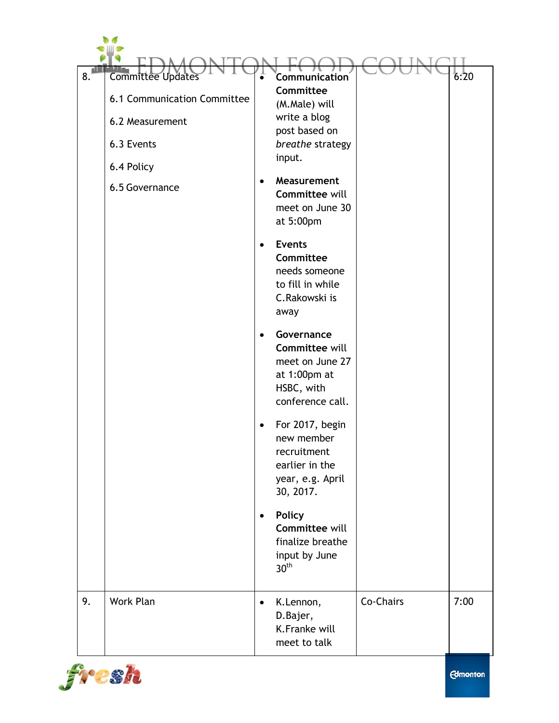| 8. | <b>Committee Updates</b><br>6.1 Communication Committee<br>6.2 Measurement<br>6.3 Events<br>6.4 Policy<br>6.5 Governance | $\bullet$ | <b>Communication</b><br>Committee<br>(M.Male) will<br>write a blog<br>post based on<br>breathe strategy<br>input.<br>Measurement<br>Committee will<br>meet on June 30<br>at 5:00pm |           | 6:20 |
|----|--------------------------------------------------------------------------------------------------------------------------|-----------|------------------------------------------------------------------------------------------------------------------------------------------------------------------------------------|-----------|------|
|    |                                                                                                                          | $\bullet$ | <b>Events</b><br>Committee<br>needs someone<br>to fill in while<br>C.Rakowski is<br>away                                                                                           |           |      |
|    |                                                                                                                          | $\bullet$ | Governance<br><b>Committee will</b><br>meet on June 27<br>at 1:00pm at<br>HSBC, with<br>conference call.                                                                           |           |      |
|    |                                                                                                                          |           | For 2017, begin<br>new member<br>recruitment<br>earlier in the<br>year, e.g. April<br>30, 2017.                                                                                    |           |      |
|    |                                                                                                                          | $\bullet$ | <b>Policy</b><br>Committee will<br>finalize breathe<br>input by June<br>30 <sup>th</sup>                                                                                           |           |      |
| 9. | Work Plan                                                                                                                | $\bullet$ | K.Lennon,<br>D.Bajer,<br>K.Franke will<br>meet to talk                                                                                                                             | Co-Chairs | 7:00 |